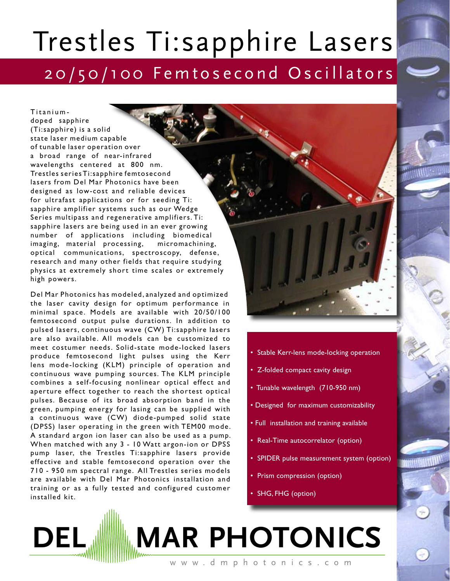## Trestles Ti:sapphire Lasers 20/50/100 Femtosecond Oscillators

Titaniumdoped sapphire (Ti:sapphire) is a solid state laser medium capable of tunable laser operation over a broad range of near-infrared wavelengths centered at 800 nm. Trestles series Ti:sapphire femtosecond lasers from Del Mar Photonics have been designed as low-cost and reliable devices for ultrafast applications or for seeding Ti: sapphire amplifier systems such as our Wedge Series multipass and regenerative amplifiers. Ti: sapphire lasers are being used in an ever growing number of applications including biomedical imaging, material processing, micromachining, optical communications, spectroscopy, defense, research and many other fields that require studying physics at extremely short time scales or extremely high powers.

Del Mar Photonics has modeled, analyzed and optimized the laser cavity design for optimum performance in minimal space. Models are available with 20/50/100 femtosecond output pulse durations. In addition to pulsed lasers, continuous wave (CW) Ti:sapphire lasers are also available. All models can be customized to meet costumer needs. Solid-state mode-locked lasers produce femtosecond light pulses using the Kerr lens mode-locking (KLM) principle of operation and continuous wave pumping sources. The KLM principle combines a self-focusing nonlinear optical effect and aperture effect together to reach the shortest optical pulses. Because of its broad absorption band in the green, pumping energy for lasing can be supplied with a continuous wave (CW) diode-pumped solid state (DPSS) laser operating in the green with TEM00 mode. A standard argon ion laser can also be used as a pump. When matched with any 3 - 10 Watt argon-ion or DPSS pump laser, the Trestles Ti:sapphire lasers provide effective and stable femtosecond operation over the 710 - 950 nm spectral range. All Trestles series models are available with Del Mar Photonics installation and training or as a fully tested and configured customer installed kit.



- Stable Kerr-lens mode-locking operation
- Z-folded compact cavity design
- Tunable wavelength (710-950 nm)
- Designed for maximum customizability
- Full installation and training available
- Real-Time autocorrelator (option)
- SPIDER pulse measurement system (option)
- Prism compression (option)
- SHG, FHG (option)

## w w w . d m p h o t o n i c s . c o m **MAR PHOTONICS**